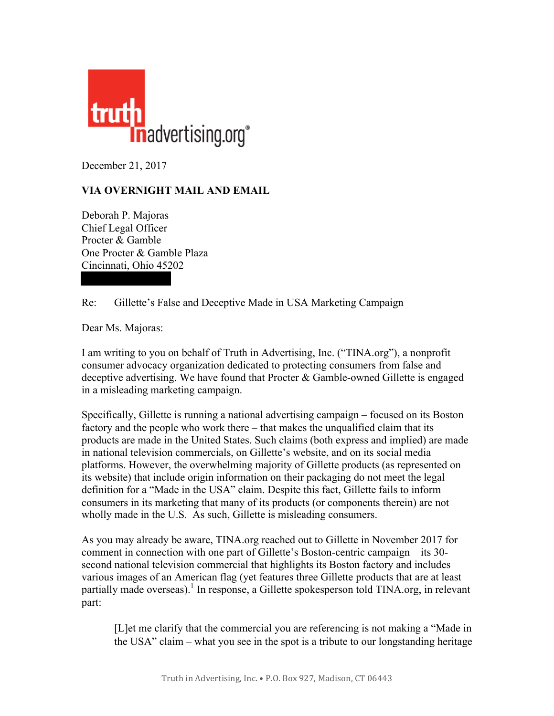

December 21, 2017

## **VIA OVERNIGHT MAIL AND EMAIL**

Deborah P. Majoras Chief Legal Officer Procter & Gamble One Procter & Gamble Plaza Cincinnati, Ohio 45202

Re: Gillette's False and Deceptive Made in USA Marketing Campaign

Dear Ms. Majoras:

I am writing to you on behalf of Truth in Advertising, Inc. ("TINA.org"), a nonprofit consumer advocacy organization dedicated to protecting consumers from false and deceptive advertising. We have found that Procter & Gamble-owned Gillette is engaged in a misleading marketing campaign.

Specifically, Gillette is running a national advertising campaign – focused on its Boston factory and the people who work there – that makes the unqualified claim that its products are made in the United States. Such claims (both express and implied) are made in national television commercials, on Gillette's website, and on its social media platforms. However, the overwhelming majority of Gillette products (as represented on its website) that include origin information on their packaging do not meet the legal definition for a "Made in the USA" claim. Despite this fact, Gillette fails to inform consumers in its marketing that many of its products (or components therein) are not wholly made in the U.S. As such, Gillette is misleading consumers.

As you may already be aware, TINA.org reached out to Gillette in November 2017 for comment in connection with one part of Gillette's Boston-centric campaign – its 30 second national television commercial that highlights its Boston factory and includes various images of an American flag (yet features three Gillette products that are at least partially made overseas).<sup>1</sup> In response, a Gillette spokesperson told TINA.org, in relevant part:

[L]et me clarify that the commercial you are referencing is not making a "Made in the USA" claim – what you see in the spot is a tribute to our longstanding heritage